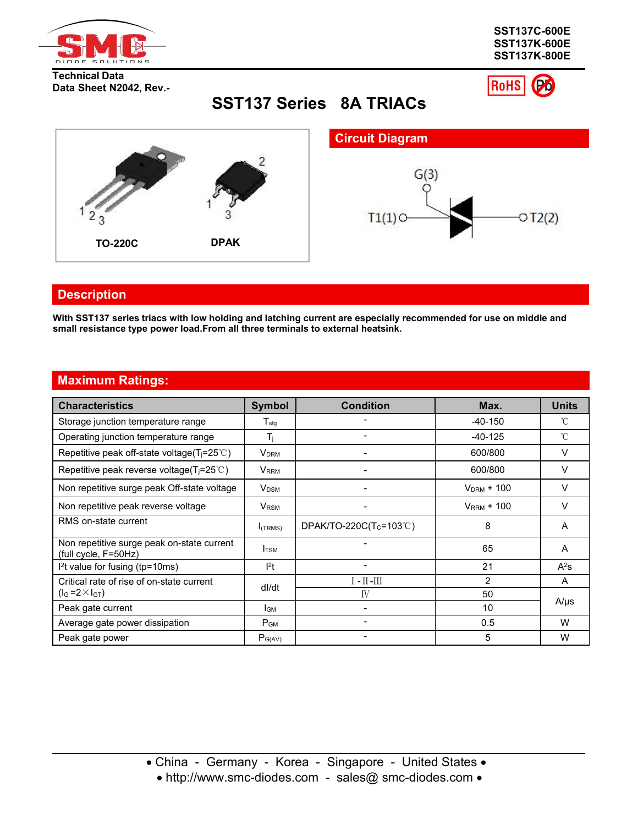

**Technical Data Data Sheet N2042, Rev.-**



ó

**RoHS** 

**SST137 Series 8A TRIACs**



## **Description**

With SST137 series triacs with low holding and latching current are especially recommended for use on middle and **small resistance type powerload.From all three terminals to external heatsink.**

## **Maximum Ratings:**

| <b>Characteristics</b>                                             | <b>Symbol</b>               | <b>Condition</b>      | Max.            | <b>Units</b> |
|--------------------------------------------------------------------|-----------------------------|-----------------------|-----------------|--------------|
| Storage junction temperature range                                 | $\mathsf{T}_{\mathsf{stg}}$ |                       | $-40-150$       | °C           |
| Operating junction temperature range                               | Tı.                         |                       | $-40-125$       | °C           |
| Repetitive peak off-state voltage( $T_j = 25^{\circ}$ C)           | V <sub>DRM</sub>            |                       | 600/800         | v            |
| Repetitive peak reverse voltage( $T_i = 25^{\circ}$ C)             | $V_{\sf RRM}$               |                       | 600/800         | V            |
| Non repetitive surge peak Off-state voltage                        | V <sub>DSM</sub>            |                       | $V_{DRM}$ + 100 | v            |
| Non repetitive peak reverse voltage                                | $V_{\tiny\textsf{RSM}}$     |                       | $V_{RRM}$ + 100 | V            |
| RMS on-state current                                               | $I$ (TRMS)                  | DPAK/TO-220C(Tc=103℃) | 8               | A            |
| Non repetitive surge peak on-state current<br>(full cycle, F=50Hz) | <b>I</b> TSM                |                       | 65              | A            |
| I <sup>2</sup> t value for fusing (tp=10ms)                        | $l^2t$                      |                       | 21              | $A^2s$       |
| Critical rate of rise of on-state current                          | dl/dt                       | $I - II - III$        | 2               | A            |
| $(l_G = 2 \times l_{GT})$                                          |                             | IV                    | 50              |              |
| Peak gate current                                                  | I <sub>GM</sub>             |                       | 10              | $A/\mu s$    |
| Average gate power dissipation                                     | $P_{GM}$                    |                       | 0.5             | W            |
| Peak gate power                                                    | $P_{G(AV)}$                 |                       | 5               | W            |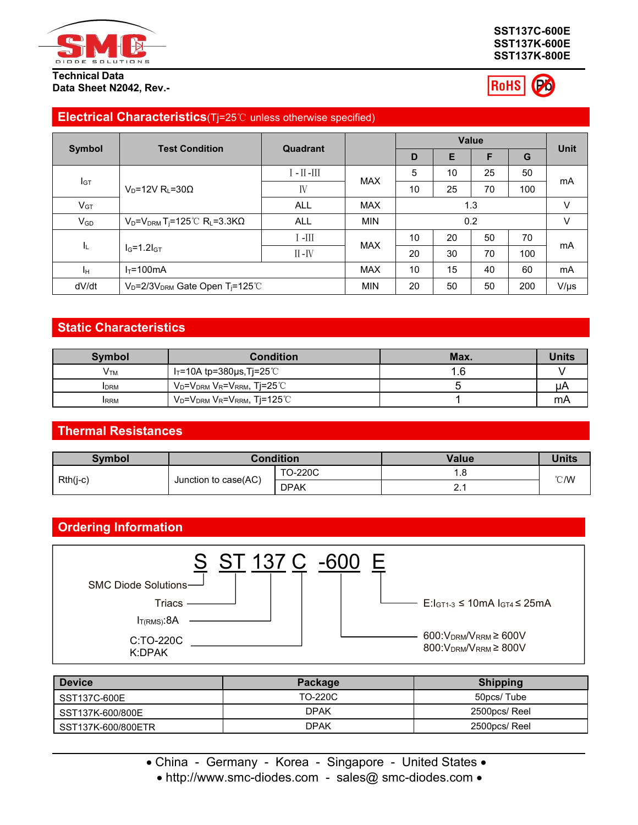

#### **Technical Data Data Sheet N2042, Rev.-**

#### **SST137C-600E SST137K-600E SST137K-800E**



## **Electrical Characteristics**(Tj=25℃ unless otherwise specified)

|                 | <b>Test Condition</b>                                |                         |            |    |    | Value |     |             |
|-----------------|------------------------------------------------------|-------------------------|------------|----|----|-------|-----|-------------|
| <b>Symbol</b>   |                                                      | Quadrant                |            | D  | Е  |       | G   | <b>Unit</b> |
|                 |                                                      | $\text{III}-\text{III}$ | <b>MAX</b> | 5  | 10 | 25    | 50  | mA          |
| I <sub>GT</sub> | $V_D = 12V R_L = 30\Omega$                           | IV                      |            | 10 | 25 | 70    | 100 |             |
| $V_{GT}$        |                                                      | <b>ALL</b>              | <b>MAX</b> |    |    | 1.3   |     | V           |
| $V_{GD}$        | $V_D = V_{DRM} T_i = 125^{\circ}C R_L = 3.3 K\Omega$ | <b>ALL</b>              | <b>MIN</b> |    |    | 0.2   |     | V           |
|                 |                                                      | $\scriptstyle\rm III$ - |            | 10 | 20 | 50    | 70  |             |
| ΙL.             | $I_G=1.2I_{GT}$                                      | $II - IV$               | <b>MAX</b> | 20 | 30 | 70    | 100 | mA          |
| Iн.             | $I_T = 100 \text{mA}$                                |                         | <b>MAX</b> | 10 | 15 | 40    | 60  | mA          |
| dV/dt           | $V_D = 2/3V_{DRM}$ Gate Open T <sub>i</sub> =125°C   |                         | <b>MIN</b> | 20 | 50 | 50    | 200 | $V/\mu s$   |

## **Static Characteristics**

| <b>Symbol</b>          | <b>Condition</b>                                                                 | Max. | <b>Units</b> |
|------------------------|----------------------------------------------------------------------------------|------|--------------|
| <b>V</b> <sub>TM</sub> | │ I⊤=10A tp=380µs,Tj=25℃_                                                        | l.6  |              |
| <b>I</b> DRM           | V <sub>D</sub> =V <sub>DRM</sub> V <sub>R</sub> =V <sub>RRM</sub> , Tj=25℃       |      | μA           |
| <b>IRRM</b>            | $\rm V_D$ = $\rm V_{DRM}$ $\rm V_R$ = $\rm V_{RRM}$ , Tj=125 $\rm ^{\circ}\rm C$ |      | mA           |

## **Thermal Resistances**

| Symbol   |                      | <b>Condition</b> | <b>Value</b>          | Units |
|----------|----------------------|------------------|-----------------------|-------|
|          |                      | <b>TO-220C</b>   | $\mathbf \sigma$<br>, |       |
| Rth(j-c) | Junction to case(AC) | <b>DPAK</b>      | $\sim$                | °C/W  |

## **Ordering Information**



| <b>Device</b>      | Package     | <b>Shipping</b> |
|--------------------|-------------|-----------------|
| SST137C-600E       | TO-220C     | 50pcs/Tube      |
| SST137K-600/800E   | <b>DPAK</b> | 2500pcs/Reel    |
| SST137K-600/800ETR | <b>DPAK</b> | 2500pcs/ Reel   |

• China - Germany - Korea - Singapore - United States •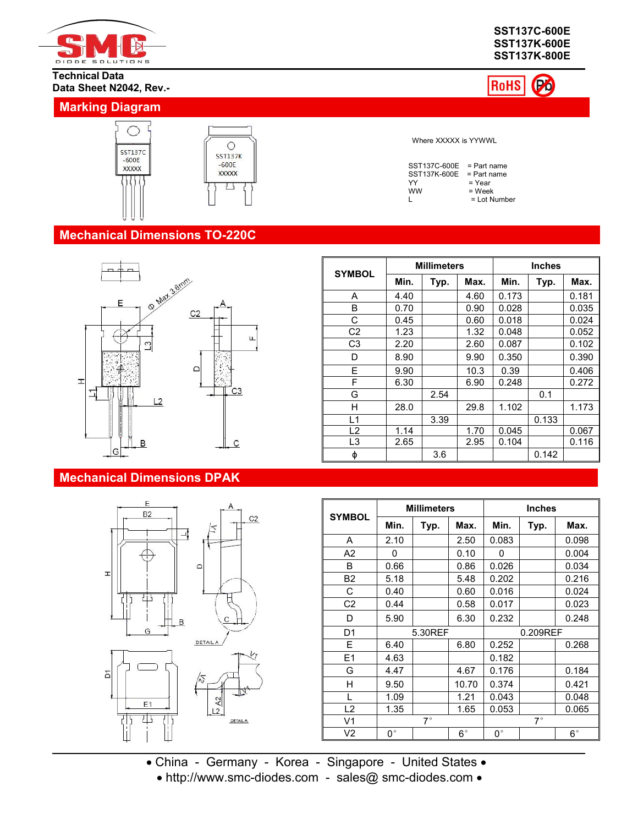

#### **Technical Data Data Sheet N2042, Rev.-**

## **Marking Diagram**



**SST137C-600E SST137K-600E SST137K-800E**



Where XXXXX is YYWWL

| $SST137C-600E = Part name$ |                |  |
|----------------------------|----------------|--|
| $SST137K-600E = Part name$ |                |  |
| YY                         | $=$ Year       |  |
| ww                         | = Week         |  |
| L                          | $=$ Lot Number |  |

**Millimeters Inches**

**Min. Typ. Max. Min. Typ. Max.** A | 4.40 | | 4.60 | 0.173 | | 0.181 || | B | 0.70 | 0.90 | 0.028 | 0.035 ||

**SYMBOL** Min. Typ. Max.

## **Mechanical Dimensions TO-220C**



## **Mechanical Dimensions DPAK**



|                |      | 0.0111111 |      |       | The college |       |
|----------------|------|-----------|------|-------|-------------|-------|
|                |      |           |      |       |             |       |
|                |      |           |      |       |             |       |
| φ              |      | 3.6       |      |       | 0.142       |       |
| L <sub>3</sub> | 2.65 |           | 2.95 | 0.104 |             | 0.116 |
| L2             | 1.14 |           | 1.70 | 0.045 |             | 0.067 |
| L1             |      | 3.39      |      |       | 0.133       |       |
| Н              | 28.0 |           | 29.8 | 1.102 |             | 1.173 |
| G              |      | 2.54      |      |       | 0.1         |       |
| F              | 6.30 |           | 6.90 | 0.248 |             | 0.272 |
| E              | 9.90 |           | 10.3 | 0.39  |             | 0.406 |
| D              | 8.90 |           | 9.90 | 0.350 |             | 0.390 |
| C <sub>3</sub> | 2.20 |           | 2.60 | 0.087 |             | 0.102 |
| C <sub>2</sub> | 1.23 |           | 1.32 | 0.048 |             | 0.052 |
| С              | 0.45 |           | 0.60 | 0.018 |             | 0.024 |

| <b>SYMBOL</b>  |               | <b>Millimeters</b> |             |               | <b>Inches</b> |             |  |
|----------------|---------------|--------------------|-------------|---------------|---------------|-------------|--|
|                | Min.          | Typ.               | Max.        | Min.          | Typ.          | Max.        |  |
| A              | 2.10          |                    | 2.50        | 0.083         |               | 0.098       |  |
| A <sub>2</sub> | 0             |                    | 0.10        | $\mathbf{0}$  |               | 0.004       |  |
| B              | 0.66          |                    | 0.86        | 0.026         |               | 0.034       |  |
| <b>B2</b>      | 5.18          |                    | 5.48        | 0.202         |               | 0.216       |  |
| C              | 0.40          |                    | 0.60        | 0.016         |               | 0.024       |  |
| C <sub>2</sub> | 0.44          |                    | 0.58        | 0.017         |               | 0.023       |  |
| D              | 5.90          |                    | 6.30        | 0.232         |               | 0.248       |  |
| D <sub>1</sub> |               | 5.30REF            |             |               |               | 0.209REF    |  |
| E              | 6.40          |                    | 6.80        | 0.252         |               | 0.268       |  |
| E <sub>1</sub> | 4.63          |                    |             | 0.182         |               |             |  |
| G              | 4.47          |                    | 4.67        | 0.176         |               | 0.184       |  |
| Н              | 9.50          |                    | 10.70       | 0.374         |               | 0.421       |  |
|                | 1.09          |                    | 1.21        | 0.043         |               | 0.048       |  |
| L2             | 1.35          |                    | 1.65        | 0.053         |               | 0.065       |  |
| V <sub>1</sub> |               | $7^{\circ}$        |             |               |               |             |  |
| V2             | $0^{\,\circ}$ |                    | $6^{\circ}$ | $0^{\,\circ}$ |               | $6^{\circ}$ |  |

China - Germany - Korea - Singapore - United States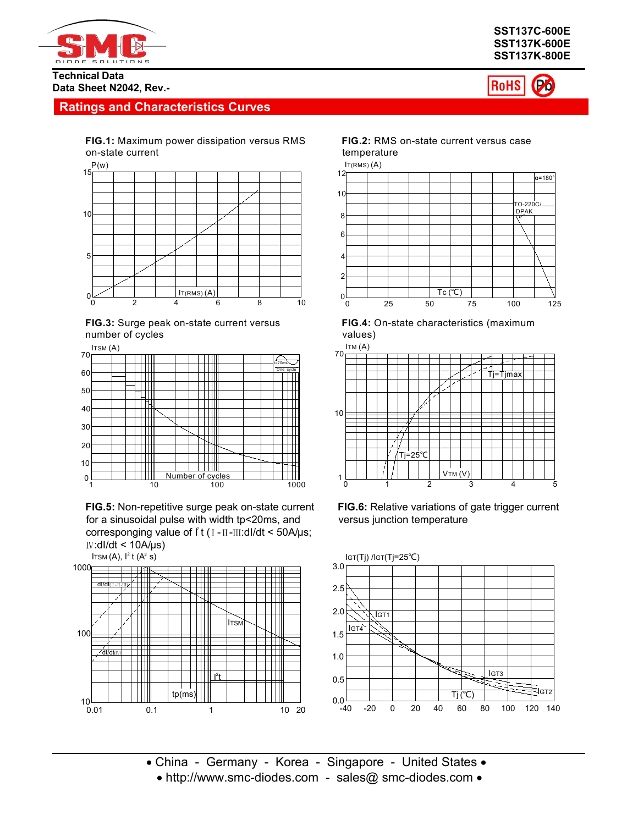



RoHS

(Po)

#### **Technical Data Data Sheet N2042, Rev.-**

## **Ratings and Characteristics Curves**

**FIG.1:** Maximum power dissipation versus RMS on-state current







**FIG.5:** Non-repetitive surge peak on-state current for a sinusoidal pulse with width tp<20ms, and corresponging value of f t ( ι - ιι -ιιι:dl/dt < 50A/μs; Ⅳ:dI/dt < 10A/μs)



**FIG.2:** RMS on-state current versus case temperature











• China - Germany - Korea - Singapore - United States •